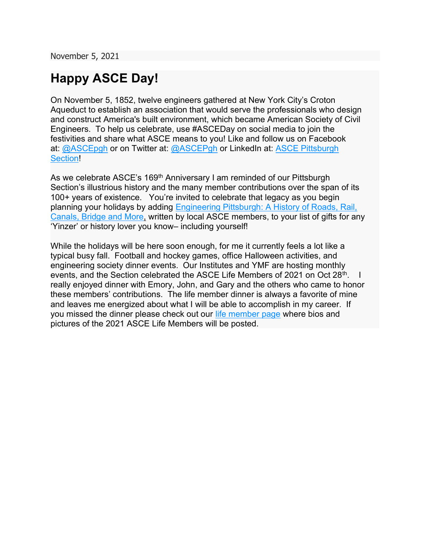November 5, 2021

## Happy ASCE Day!

On November 5, 1852, twelve engineers gathered at New York City's Croton Aqueduct to establish an association that would serve the professionals who design and construct America's built environment, which became American Society of Civil Engineers. To help us celebrate, use #ASCEDay on social media to join the festivities and share what ASCE means to you! Like and follow us on Facebook at: @ASCEpgh or on Twitter at: @ASCEPgh or LinkedIn at: ASCE Pittsburgh Section!

As we celebrate ASCE's 169<sup>th</sup> Anniversary I am reminded of our Pittsburgh Section's illustrious history and the many member contributions over the span of its 100+ years of existence. You're invited to celebrate that legacy as you begin planning your holidays by adding Engineering Pittsburgh: A History of Roads, Rail, Canals, Bridge and More, written by local ASCE members, to your list of gifts for any 'Yinzer' or history lover you know– including yourself!

While the holidays will be here soon enough, for me it currently feels a lot like a typical busy fall. Football and hockey games, office Halloween activities, and engineering society dinner events. Our Institutes and YMF are hosting monthly events, and the Section celebrated the ASCE Life Members of 2021 on Oct 28<sup>th</sup>. really enjoyed dinner with Emory, John, and Gary and the others who came to honor these members' contributions. The life member dinner is always a favorite of mine and leaves me energized about what I will be able to accomplish in my career. If you missed the dinner please check out our life member page where bios and pictures of the 2021 ASCE Life Members will be posted.